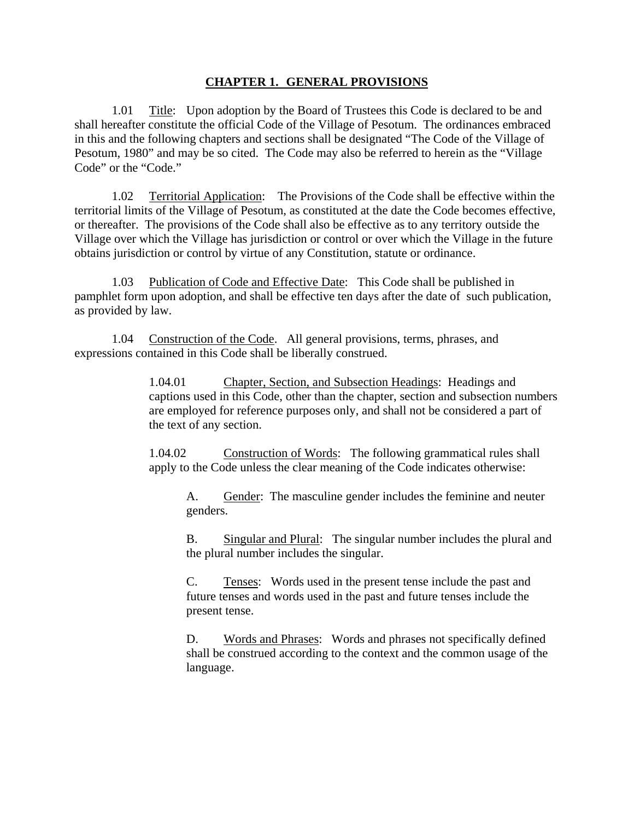## **CHAPTER 1. GENERAL PROVISIONS**

 1.01 Title: Upon adoption by the Board of Trustees this Code is declared to be and shall hereafter constitute the official Code of the Village of Pesotum. The ordinances embraced in this and the following chapters and sections shall be designated "The Code of the Village of Pesotum, 1980" and may be so cited. The Code may also be referred to herein as the "Village Code" or the "Code."

 1.02 Territorial Application: The Provisions of the Code shall be effective within the territorial limits of the Village of Pesotum, as constituted at the date the Code becomes effective, or thereafter. The provisions of the Code shall also be effective as to any territory outside the Village over which the Village has jurisdiction or control or over which the Village in the future obtains jurisdiction or control by virtue of any Constitution, statute or ordinance.

 1.03 Publication of Code and Effective Date: This Code shall be published in pamphlet form upon adoption, and shall be effective ten days after the date of such publication, as provided by law.

 1.04 Construction of the Code. All general provisions, terms, phrases, and expressions contained in this Code shall be liberally construed.

> 1.04.01 Chapter, Section, and Subsection Headings: Headings and captions used in this Code, other than the chapter, section and subsection numbers are employed for reference purposes only, and shall not be considered a part of the text of any section.

1.04.02 Construction of Words: The following grammatical rules shall apply to the Code unless the clear meaning of the Code indicates otherwise:

A. Gender: The masculine gender includes the feminine and neuter genders.

B. Singular and Plural: The singular number includes the plural and the plural number includes the singular.

C. Tenses: Words used in the present tense include the past and future tenses and words used in the past and future tenses include the present tense.

D. Words and Phrases: Words and phrases not specifically defined shall be construed according to the context and the common usage of the language.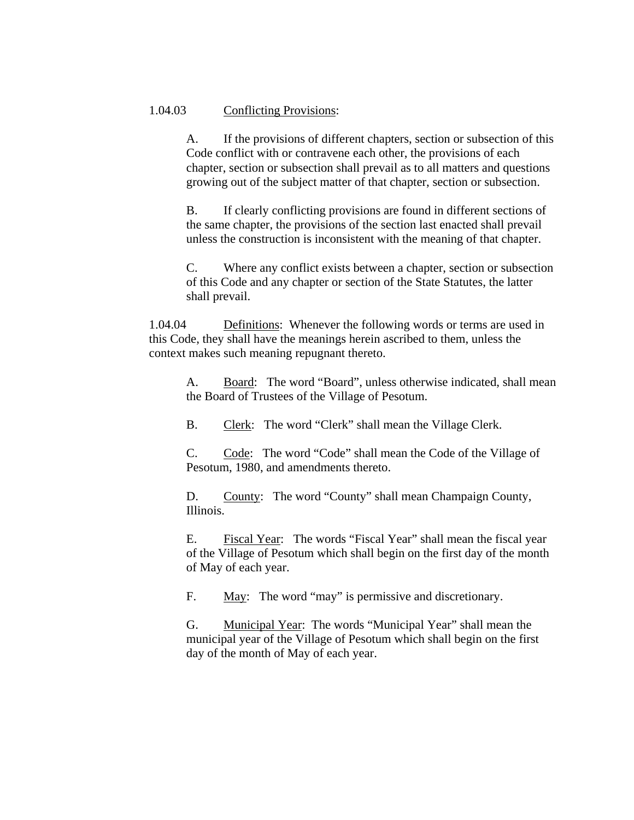## 1.04.03 Conflicting Provisions:

A. If the provisions of different chapters, section or subsection of this Code conflict with or contravene each other, the provisions of each chapter, section or subsection shall prevail as to all matters and questions growing out of the subject matter of that chapter, section or subsection.

B. If clearly conflicting provisions are found in different sections of the same chapter, the provisions of the section last enacted shall prevail unless the construction is inconsistent with the meaning of that chapter.

C. Where any conflict exists between a chapter, section or subsection of this Code and any chapter or section of the State Statutes, the latter shall prevail.

1.04.04 Definitions: Whenever the following words or terms are used in this Code, they shall have the meanings herein ascribed to them, unless the context makes such meaning repugnant thereto.

A. Board: The word "Board", unless otherwise indicated, shall mean the Board of Trustees of the Village of Pesotum.

B. Clerk: The word "Clerk" shall mean the Village Clerk.

C. Code: The word "Code" shall mean the Code of the Village of Pesotum, 1980, and amendments thereto.

D. County: The word "County" shall mean Champaign County, Illinois.

E. Fiscal Year: The words "Fiscal Year" shall mean the fiscal year of the Village of Pesotum which shall begin on the first day of the month of May of each year.

F. May: The word "may" is permissive and discretionary.

G. Municipal Year: The words "Municipal Year" shall mean the municipal year of the Village of Pesotum which shall begin on the first day of the month of May of each year.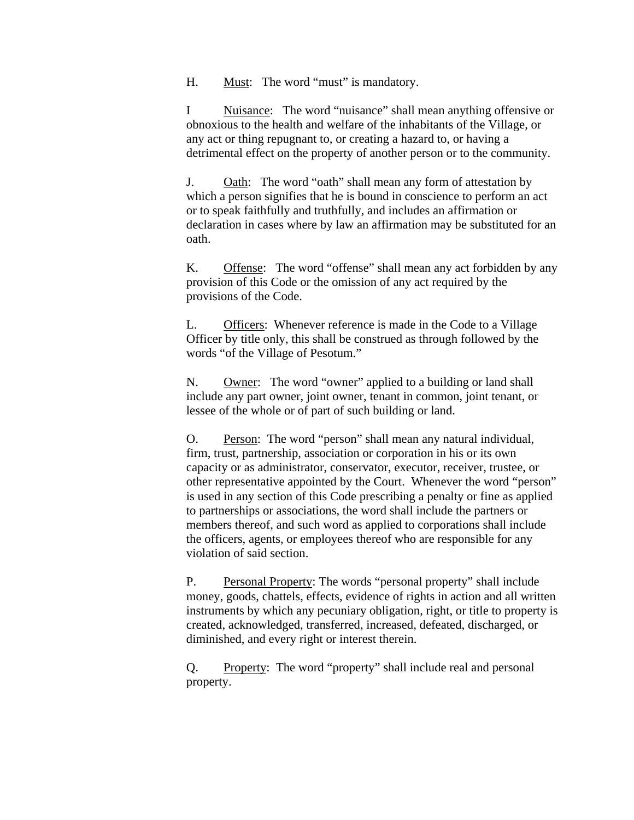H. Must: The word "must" is mandatory.

I Nuisance: The word "nuisance" shall mean anything offensive or obnoxious to the health and welfare of the inhabitants of the Village, or any act or thing repugnant to, or creating a hazard to, or having a detrimental effect on the property of another person or to the community.

J. Oath: The word "oath" shall mean any form of attestation by which a person signifies that he is bound in conscience to perform an act or to speak faithfully and truthfully, and includes an affirmation or declaration in cases where by law an affirmation may be substituted for an oath.

K. Offense: The word "offense" shall mean any act forbidden by any provision of this Code or the omission of any act required by the provisions of the Code.

L. Officers: Whenever reference is made in the Code to a Village Officer by title only, this shall be construed as through followed by the words "of the Village of Pesotum."

N. Owner: The word "owner" applied to a building or land shall include any part owner, joint owner, tenant in common, joint tenant, or lessee of the whole or of part of such building or land.

O. Person: The word "person" shall mean any natural individual, firm, trust, partnership, association or corporation in his or its own capacity or as administrator, conservator, executor, receiver, trustee, or other representative appointed by the Court. Whenever the word "person" is used in any section of this Code prescribing a penalty or fine as applied to partnerships or associations, the word shall include the partners or members thereof, and such word as applied to corporations shall include the officers, agents, or employees thereof who are responsible for any violation of said section.

P. Personal Property: The words "personal property" shall include money, goods, chattels, effects, evidence of rights in action and all written instruments by which any pecuniary obligation, right, or title to property is created, acknowledged, transferred, increased, defeated, discharged, or diminished, and every right or interest therein.

Q. Property: The word "property" shall include real and personal property.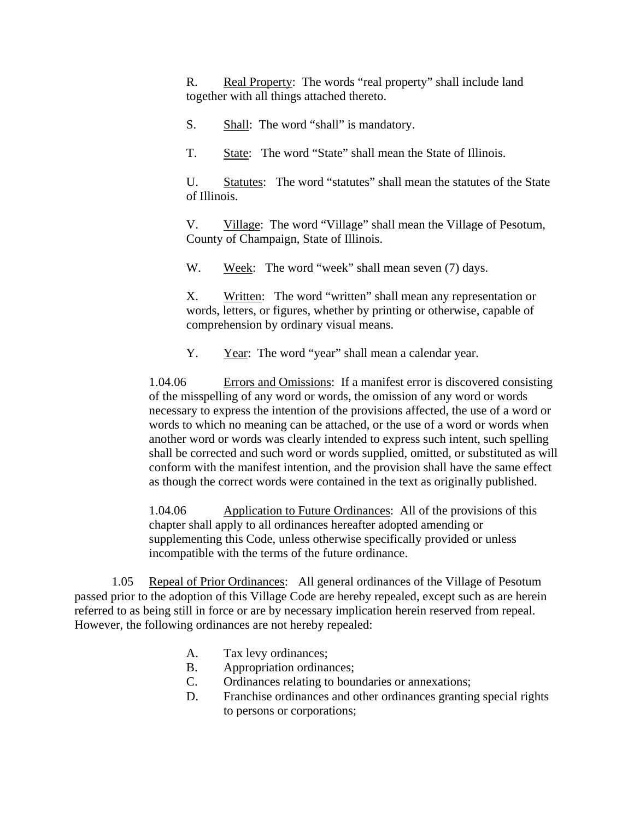R. Real Property: The words "real property" shall include land together with all things attached thereto.

S. Shall: The word "shall" is mandatory.

T. State: The word "State" shall mean the State of Illinois.

U. Statutes: The word "statutes" shall mean the statutes of the State of Illinois.

V. Village: The word "Village" shall mean the Village of Pesotum, County of Champaign, State of Illinois.

W. Week: The word "week" shall mean seven (7) days.

X. Written: The word "written" shall mean any representation or words, letters, or figures, whether by printing or otherwise, capable of comprehension by ordinary visual means.

Y. Year: The word "year" shall mean a calendar year.

1.04.06 Errors and Omissions: If a manifest error is discovered consisting of the misspelling of any word or words, the omission of any word or words necessary to express the intention of the provisions affected, the use of a word or words to which no meaning can be attached, or the use of a word or words when another word or words was clearly intended to express such intent, such spelling shall be corrected and such word or words supplied, omitted, or substituted as will conform with the manifest intention, and the provision shall have the same effect as though the correct words were contained in the text as originally published.

1.04.06 Application to Future Ordinances: All of the provisions of this chapter shall apply to all ordinances hereafter adopted amending or supplementing this Code, unless otherwise specifically provided or unless incompatible with the terms of the future ordinance.

 1.05 Repeal of Prior Ordinances: All general ordinances of the Village of Pesotum passed prior to the adoption of this Village Code are hereby repealed, except such as are herein referred to as being still in force or are by necessary implication herein reserved from repeal. However, the following ordinances are not hereby repealed:

- A. Tax levy ordinances;
- B. Appropriation ordinances;
- C. Ordinances relating to boundaries or annexations;
- D. Franchise ordinances and other ordinances granting special rights to persons or corporations;